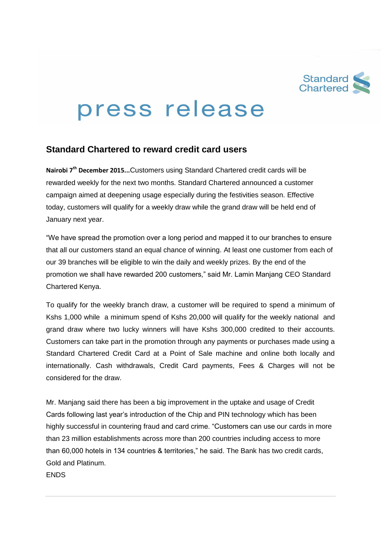

## press release

## **Standard Chartered to reward credit card users**

**Nairobi 7 th December 2015...**Customers using Standard Chartered credit cards will be rewarded weekly for the next two months. Standard Chartered announced a customer campaign aimed at deepening usage especially during the festivities season. Effective today, customers will qualify for a weekly draw while the grand draw will be held end of January next year.

"We have spread the promotion over a long period and mapped it to our branches to ensure that all our customers stand an equal chance of winning. At least one customer from each of our 39 branches will be eligible to win the daily and weekly prizes. By the end of the promotion we shall have rewarded 200 customers," said Mr. Lamin Manjang CEO Standard Chartered Kenya.

To qualify for the weekly branch draw, a customer will be required to spend a minimum of Kshs 1,000 while a minimum spend of Kshs 20,000 will qualify for the weekly national and grand draw where two lucky winners will have Kshs 300,000 credited to their accounts. Customers can take part in the promotion through any payments or purchases made using a Standard Chartered Credit Card at a Point of Sale machine and online both locally and internationally. Cash withdrawals, Credit Card payments, Fees & Charges will not be considered for the draw.

Mr. Manjang said there has been a big improvement in the uptake and usage of Credit Cards following last year's introduction of the Chip and PIN technology which has been highly successful in countering fraud and card crime. "Customers can use our cards in more than 23 million establishments across more than 200 countries including access to more than 60,000 hotels in 134 countries & territories," he said. The Bank has two credit cards, Gold and Platinum.

**FNDS**